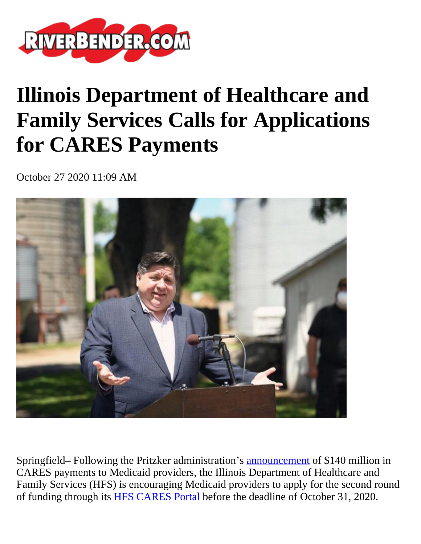

## **Illinois Department of Healthcare and Family Services Calls for Applications for CARES Payments**

October 27 2020 11:09 AM



Springfield– Following the Pritzker administration's [announcement](https://www2.illinois.gov/Pages/news-item.aspx?ReleaseID=22142) of \$140 million in CARES payments to Medicaid providers, the Illinois Department of Healthcare and Family Services (HFS) is encouraging Medicaid providers to apply for the second round of funding through its [HFS CARES Portal](https://caresapp.hfs.illinois.gov/) before the deadline of October 31, 2020.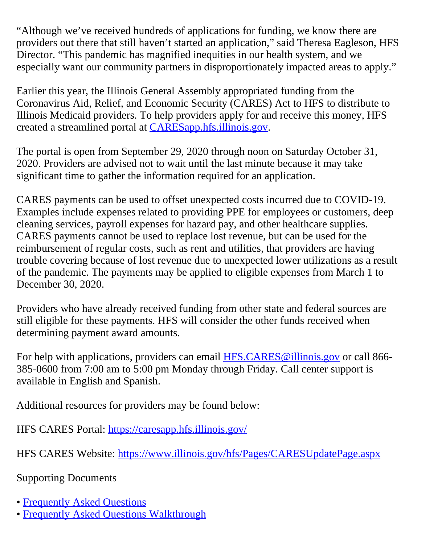"Although we've received hundreds of applications for funding, we know there are providers out there that still haven't started an application," said Theresa Eagleson, HFS Director. "This pandemic has magnified inequities in our health system, and we especially want our community partners in disproportionately impacted areas to apply."

Earlier this year, the Illinois General Assembly appropriated funding from the Coronavirus Aid, Relief, and Economic Security (CARES) Act to HFS to distribute to Illinois Medicaid providers. To help providers apply for and receive this money, HFS created a streamlined portal at [CARESapp.hfs.illinois.gov.](https://caresapp.hfs.illinois.gov/)

The portal is open from September 29, 2020 through noon on Saturday October 31, 2020. Providers are advised not to wait until the last minute because it may take significant time to gather the information required for an application.

CARES payments can be used to offset unexpected costs incurred due to COVID-19. Examples include expenses related to providing PPE for employees or customers, deep cleaning services, payroll expenses for hazard pay, and other healthcare supplies. CARES payments cannot be used to replace lost revenue, but can be used for the reimbursement of regular costs, such as rent and utilities, that providers are having trouble covering because of lost revenue due to unexpected lower utilizations as a result of the pandemic. The payments may be applied to eligible expenses from March 1 to December 30, 2020.

Providers who have already received funding from other state and federal sources are still eligible for these payments. HFS will consider the other funds received when determining payment award amounts.

For help with applications, providers can email **[HFS.CARES@illinois.gov](mailto:HFS.CARES@illinois.gov)** or call 866-385-0600 from 7:00 am to 5:00 pm Monday through Friday. Call center support is available in English and Spanish.

Additional resources for providers may be found below:

HFS CARES Portal: <https://caresapp.hfs.illinois.gov/>

HFS CARES Website:<https://www.illinois.gov/hfs/Pages/CARESUpdatePage.aspx>

Supporting Documents

- • [Frequently Asked Questions](https://caresapp.hfs.illinois.gov/faq/)
- • [Frequently Asked Questions Walkthrough](https://multimedia.illinois.gov/hfs/Hfs-Cares-Portal-Walkthrough-2-101420.html)